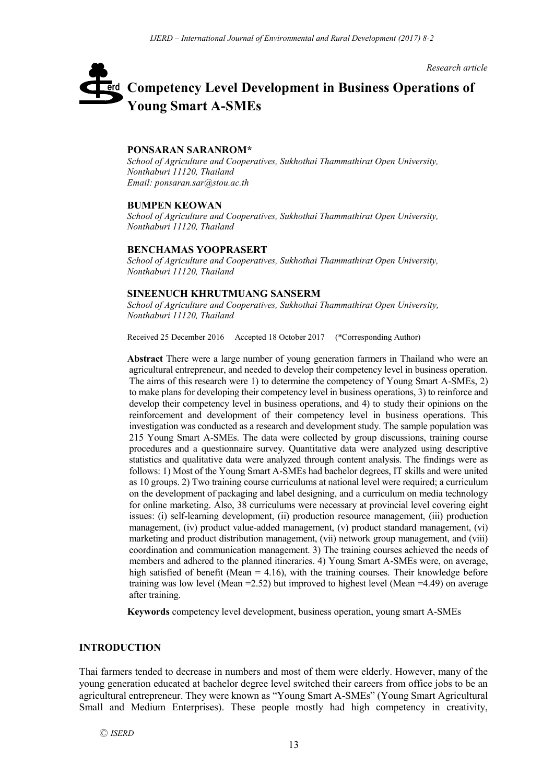*Research article*

# **Competency Level Development in Business Operations of**  erd **Young Smart A-SMEs**

#### **PONSARAN SARANROM\***

*School of Agriculture and Cooperatives, Sukhothai Thammathirat Open University, Nonthaburi 11120, Thailand Email: ponsaran.sar@stou.ac.th*

#### **BUMPEN KEOWAN**

*School of Agriculture and Cooperatives, Sukhothai Thammathirat Open University, Nonthaburi 11120, Thailand*

#### **BENCHAMAS YOOPRASERT**

*School of Agriculture and Cooperatives, Sukhothai Thammathirat Open University, Nonthaburi 11120, Thailand*

## **SINEENUCH KHRUTMUANG SANSERM**

*School of Agriculture and Cooperatives, Sukhothai Thammathirat Open University, Nonthaburi 11120, Thailand*

Received 25 December 2016 Accepted 18 October 2017 (\*Corresponding Author)

**Abstract** There were a large number of young generation farmers in Thailand who were an agricultural entrepreneur, and needed to develop their competency level in business operation. The aims of this research were 1) to determine the competency of Young Smart A-SMEs, 2) to make plans for developing their competency level in business operations, 3) to reinforce and develop their competency level in business operations, and 4) to study their opinions on the reinforcement and development of their competency level in business operations. This investigation was conducted as a research and development study. The sample population was 215 Young Smart A-SMEs. The data were collected by group discussions, training course procedures and a questionnaire survey. Quantitative data were analyzed using descriptive statistics and qualitative data were analyzed through content analysis. The findings were as follows: 1) Most of the Young Smart A-SMEs had bachelor degrees, IT skills and were united as 10 groups. 2) Two training course curriculums at national level were required; a curriculum on the development of packaging and label designing, and a curriculum on media technology for online marketing. Also, 38 curriculums were necessary at provincial level covering eight issues: (i) self-learning development, (ii) production resource management, (iii) production management, (iv) product value-added management, (v) product standard management, (vi) marketing and product distribution management, (vii) network group management, and (viii) coordination and communication management. 3) The training courses achieved the needs of members and adhered to the planned itineraries. 4) Young Smart A-SMEs were, on average, high satisfied of benefit (Mean  $= 4.16$ ), with the training courses. Their knowledge before training was low level (Mean  $=2.52$ ) but improved to highest level (Mean  $=4.49$ ) on average after training.

**Keywords** competency level development, business operation, young smart A-SMEs

# **INTRODUCTION**

Thai farmers tended to decrease in numbers and most of them were elderly. However, many of the young generation educated at bachelor degree level switched their careers from office jobs to be an agricultural entrepreneur. They were known as "Young Smart A-SMEs" (Young Smart Agricultural Small and Medium Enterprises). These people mostly had high competency in creativity,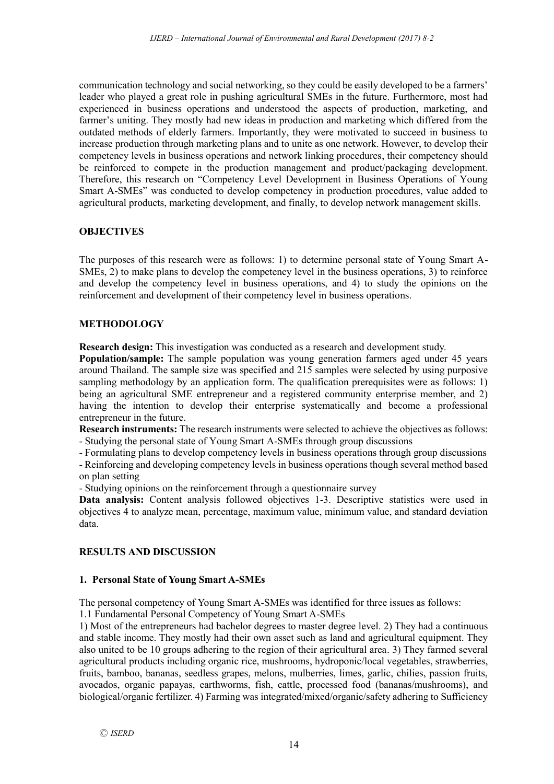communication technology and social networking, so they could be easily developed to be a farmers' leader who played a great role in pushing agricultural SMEs in the future. Furthermore, most had experienced in business operations and understood the aspects of production, marketing, and farmer's uniting. They mostly had new ideas in production and marketing which differed from the outdated methods of elderly farmers. Importantly, they were motivated to succeed in business to increase production through marketing plans and to unite as one network. However, to develop their competency levels in business operations and network linking procedures, their competency should be reinforced to compete in the production management and product/packaging development. Therefore, this research on "Competency Level Development in Business Operations of Young Smart A-SMEs" was conducted to develop competency in production procedures, value added to agricultural products, marketing development, and finally, to develop network management skills.

# **OBJECTIVES**

The purposes of this research were as follows: 1) to determine personal state of Young Smart A-SMEs, 2) to make plans to develop the competency level in the business operations, 3) to reinforce and develop the competency level in business operations, and 4) to study the opinions on the reinforcement and development of their competency level in business operations.

# **METHODOLOGY**

**Research design:** This investigation was conducted as a research and development study.

**Population/sample:** The sample population was young generation farmers aged under 45 years around Thailand. The sample size was specified and 215 samples were selected by using purposive sampling methodology by an application form. The qualification prerequisites were as follows: 1) being an agricultural SME entrepreneur and a registered community enterprise member, and 2) having the intention to develop their enterprise systematically and become a professional entrepreneur in the future.

**Research instruments:** The research instruments were selected to achieve the objectives as follows: - Studying the personal state of Young Smart A-SMEs through group discussions

- Formulating plans to develop competency levels in business operations through group discussions - Reinforcing and developing competency levels in business operations though several method based on plan setting

- Studying opinions on the reinforcement through a questionnaire survey

**Data analysis:** Content analysis followed objectives 1-3. Descriptive statistics were used in objectives 4 to analyze mean, percentage, maximum value, minimum value, and standard deviation data.

# **RESULTS AND DISCUSSION**

# **1. Personal State of Young Smart A-SMEs**

The personal competency of Young Smart A-SMEs was identified for three issues as follows:

1.1 Fundamental Personal Competency of Young Smart A-SMEs

1) Most of the entrepreneurs had bachelor degrees to master degree level. 2) They had a continuous and stable income. They mostly had their own asset such as land and agricultural equipment. They also united to be 10 groups adhering to the region of their agricultural area. 3) They farmed several agricultural products including organic rice, mushrooms, hydroponic/local vegetables, strawberries, fruits, bamboo, bananas, seedless grapes, melons, mulberries, limes, garlic, chilies, passion fruits, avocados, organic papayas, earthworms, fish, cattle, processed food (bananas/mushrooms), and biological/organic fertilizer. 4) Farming was integrated/mixed/organic/safety adhering to Sufficiency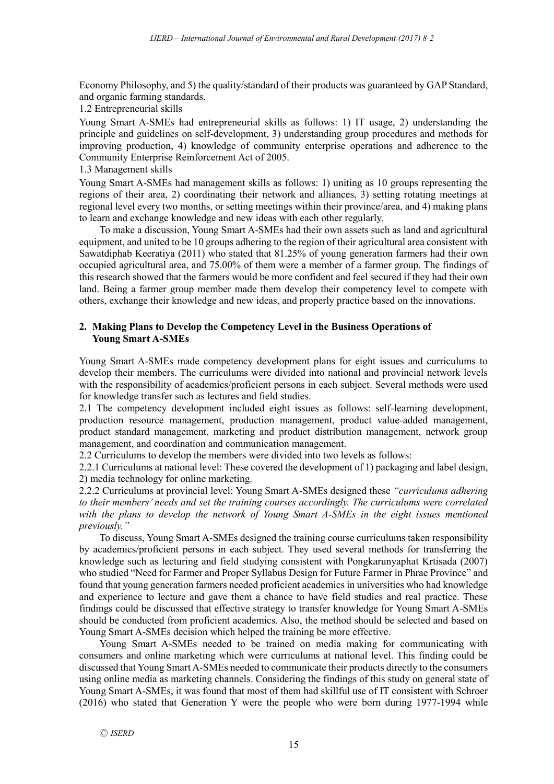Economy Philosophy, and 5) the quality/standard of their products was guaranteed by GAP Standard, and organic farming standards.

1.2 Entrepreneurial skills

Young Smart A-SMEs had entrepreneurial skills as follows: 1) IT usage, 2) understanding the principle and guidelines on self-development, 3) understanding group procedures and methods for improving production, 4) knowledge of community enterprise operations and adherence to the Community Enterprise Reinforcement Act of 2005.

1.3 Management skills

Young Smart A-SMEs had management skills as follows: 1) uniting as 10 groups representing the regions of their area, 2) coordinating their network and alliances, 3) setting rotating meetings at regional level every two months, or setting meetings within their province/area, and 4) making plans to learn and exchange knowledge and new ideas with each other regularly.

To make a discussion, Young Smart A-SMEs had their own assets such as land and agricultural equipment, and united to be 10 groups adhering to the region of their agricultural area consistent with Sawatdiphab Keeratiya (2011) who stated that 81.25% of young generation farmers had their own occupied agricultural area, and 75.00% of them were a member of a farmer group. The findings of this research showed that the farmers would be more confident and feel secured if they had their own land. Being a farmer group member made them develop their competency level to compete with others, exchange their knowledge and new ideas, and properly practice based on the innovations.

## **2. Making Plans to Develop the Competency Level in the Business Operations of Young Smart A-SMEs**

Young Smart A-SMEs made competency development plans for eight issues and curriculums to develop their members. The curriculums were divided into national and provincial network levels with the responsibility of academics/proficient persons in each subject. Several methods were used for knowledge transfer such as lectures and field studies.

2.1 The competency development included eight issues as follows: self-learning development, production resource management, production management, product value-added management, product standard management, marketing and product distribution management, network group management, and coordination and communication management.

2.2 Curriculums to develop the members were divided into two levels as follows:

2.2.1 Curriculums at national level: These covered the development of 1) packaging and label design, 2) media technology for online marketing.

2.2.2 Curriculums at provincial level: Young Smart A-SMEs designed these *"curriculums adhering to their members' needs and set the training courses accordingly. The curriculums were correlated*  with the plans to develop the network of Young Smart A-SMEs in the eight issues mentioned *previously."*

To discuss, Young Smart A-SMEs designed the training course curriculums taken responsibility by academics/proficient persons in each subject. They used several methods for transferring the knowledge such as lecturing and field studying consistent with Pongkarunyaphat Krtisada (2007) who studied "Need for Farmer and Proper Syllabus Design for Future Farmer in Phrae Province" and found that young generation farmers needed proficient academics in universities who had knowledge and experience to lecture and gave them a chance to have field studies and real practice. These findings could be discussed that effective strategy to transfer knowledge for Young Smart A-SMEs should be conducted from proficient academics. Also, the method should be selected and based on Young Smart A-SMEs decision which helped the training be more effective.

Young Smart A-SMEs needed to be trained on media making for communicating with consumers and online marketing which were curriculums at national level. This finding could be discussed that Young Smart A-SMEs needed to communicate their products directly to the consumers using online media as marketing channels. Considering the findings of this study on general state of Young Smart A-SMEs, it was found that most of them had skillful use of IT consistent with Schroer (2016) who stated that Generation Y were the people who were born during 1977-1994 while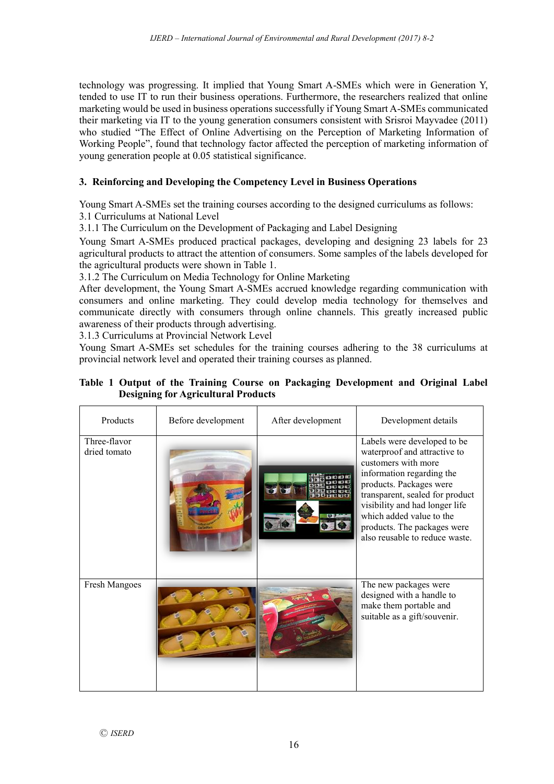technology was progressing. It implied that Young Smart A-SMEs which were in Generation Y, tended to use IT to run their business operations. Furthermore, the researchers realized that online marketing would be used in business operations successfully if Young Smart A-SMEs communicated their marketing via IT to the young generation consumers consistent with Srisroi Mayvadee (2011) who studied "The Effect of Online Advertising on the Perception of Marketing Information of Working People", found that technology factor affected the perception of marketing information of young generation people at 0.05 statistical significance.

# **3. Reinforcing and Developing the Competency Level in Business Operations**

Young Smart A-SMEs set the training courses according to the designed curriculums as follows:

3.1 Curriculums at National Level

3.1.1 The Curriculum on the Development of Packaging and Label Designing

Young Smart A-SMEs produced practical packages, developing and designing 23 labels for 23 agricultural products to attract the attention of consumers. Some samples of the labels developed for the agricultural products were shown in Table 1.

3.1.2 The Curriculum on Media Technology for Online Marketing

After development, the Young Smart A-SMEs accrued knowledge regarding communication with consumers and online marketing. They could develop media technology for themselves and communicate directly with consumers through online channels. This greatly increased public awareness of their products through advertising.

3.1.3 Curriculums at Provincial Network Level

Young Smart A-SMEs set schedules for the training courses adhering to the 38 curriculums at provincial network level and operated their training courses as planned.

# **Table 1 Output of the Training Course on Packaging Development and Original Label Designing for Agricultural Products**

| Products                     | Before development | After development | Development details                                                                                                                                                                                                                                                                                          |
|------------------------------|--------------------|-------------------|--------------------------------------------------------------------------------------------------------------------------------------------------------------------------------------------------------------------------------------------------------------------------------------------------------------|
| Three-flavor<br>dried tomato |                    |                   | Labels were developed to be<br>waterproof and attractive to<br>customers with more<br>information regarding the<br>products. Packages were<br>transparent, sealed for product<br>visibility and had longer life<br>which added value to the<br>products. The packages were<br>also reusable to reduce waste. |
| Fresh Mangoes                |                    |                   | The new packages were<br>designed with a handle to<br>make them portable and<br>suitable as a gift/souvenir.                                                                                                                                                                                                 |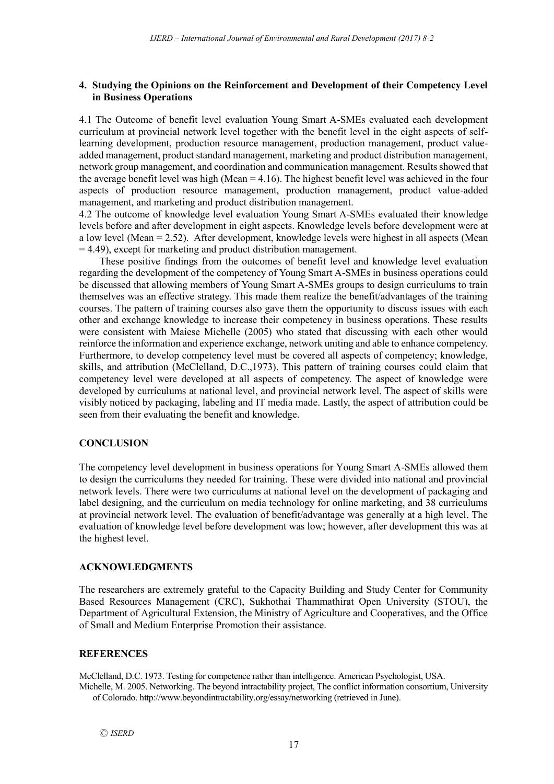## **4. Studying the Opinions on the Reinforcement and Development of their Competency Level in Business Operations**

4.1 The Outcome of benefit level evaluation Young Smart A-SMEs evaluated each development curriculum at provincial network level together with the benefit level in the eight aspects of selflearning development, production resource management, production management, product valueadded management, product standard management, marketing and product distribution management, network group management, and coordination and communication management. Results showed that the average benefit level was high (Mean  $=$  4.16). The highest benefit level was achieved in the four aspects of production resource management, production management, product value-added management, and marketing and product distribution management.

4.2 The outcome of knowledge level evaluation Young Smart A-SMEs evaluated their knowledge levels before and after development in eight aspects. Knowledge levels before development were at a low level (Mean = 2.52). After development, knowledge levels were highest in all aspects (Mean = 4.49), except for marketing and product distribution management.

These positive findings from the outcomes of benefit level and knowledge level evaluation regarding the development of the competency of Young Smart A-SMEs in business operations could be discussed that allowing members of Young Smart A-SMEs groups to design curriculums to train themselves was an effective strategy. This made them realize the benefit/advantages of the training courses. The pattern of training courses also gave them the opportunity to discuss issues with each other and exchange knowledge to increase their competency in business operations. These results were consistent with Maiese Michelle (2005) who stated that discussing with each other would reinforce the information and experience exchange, network uniting and able to enhance competency. Furthermore, to develop competency level must be covered all aspects of competency; knowledge, skills, and attribution (McClelland, D.C.,1973). This pattern of training courses could claim that competency level were developed at all aspects of competency. The aspect of knowledge were developed by curriculums at national level, and provincial network level. The aspect of skills were visibly noticed by packaging, labeling and IT media made. Lastly, the aspect of attribution could be seen from their evaluating the benefit and knowledge.

## **CONCLUSION**

The competency level development in business operations for Young Smart A-SMEs allowed them to design the curriculums they needed for training. These were divided into national and provincial network levels. There were two curriculums at national level on the development of packaging and label designing, and the curriculum on media technology for online marketing, and 38 curriculums at provincial network level. The evaluation of benefit/advantage was generally at a high level. The evaluation of knowledge level before development was low; however, after development this was at the highest level.

## **ACKNOWLEDGMENTS**

The researchers are extremely grateful to the Capacity Building and Study Center for Community Based Resources Management (CRC), Sukhothai Thammathirat Open University (STOU), the Department of Agricultural Extension, the Ministry of Agriculture and Cooperatives, and the Office of Small and Medium Enterprise Promotion their assistance.

## **REFERENCES**

McClelland, D.C. 1973. Testing for competence rather than intelligence. American Psychologist, USA. Michelle, M. 2005. Networking. The beyond intractability project, The conflict information consortium, University of Colorado. http://www.beyondintractability.org/essay/networking (retrieved in June).